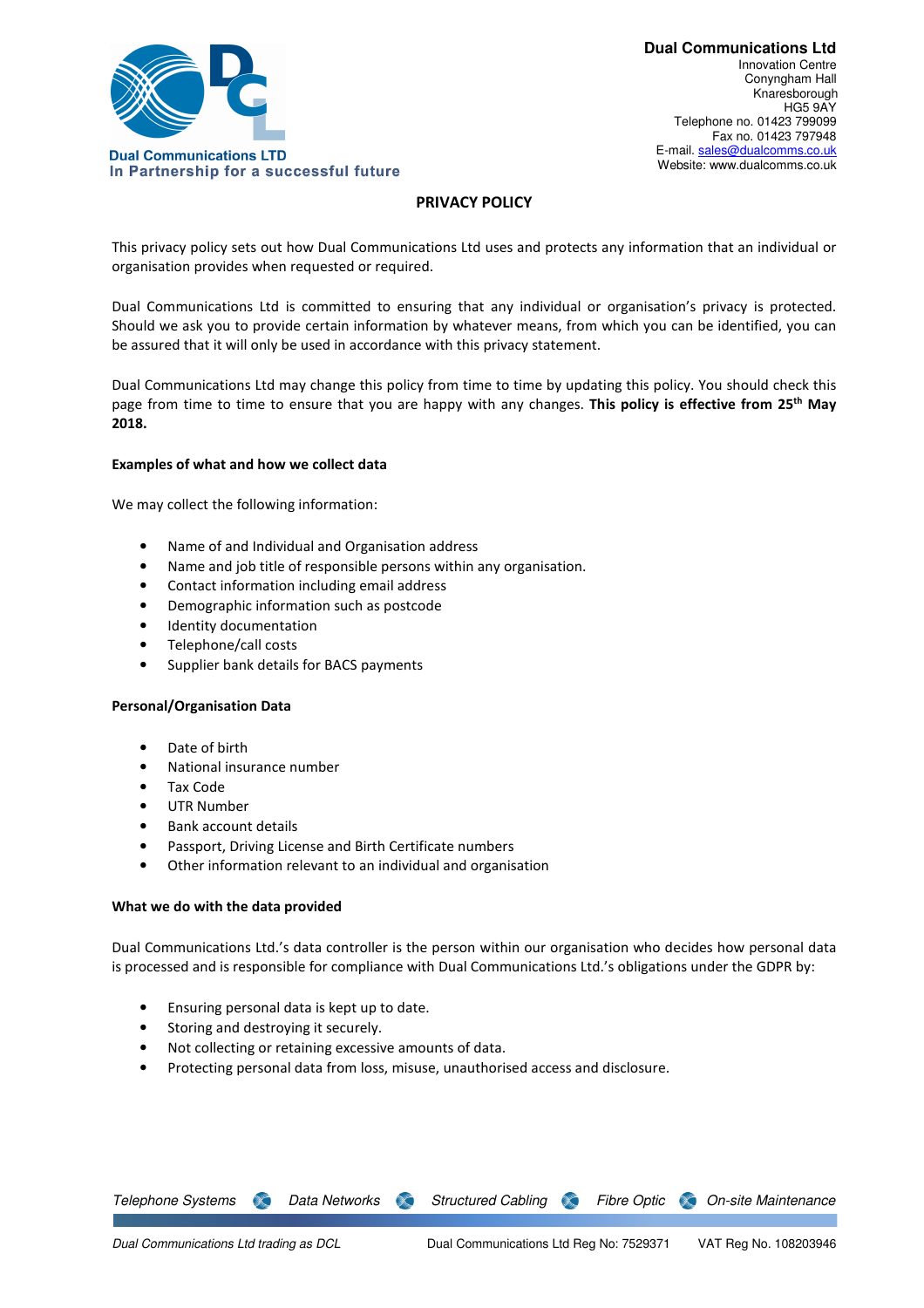

# **PRIVACY POLICY**

This privacy policy sets out how Dual Communications Ltd uses and protects any information that an individual or organisation provides when requested or required.

Dual Communications Ltd is committed to ensuring that any individual or organisation's privacy is protected. Should we ask you to provide certain information by whatever means, from which you can be identified, you can be assured that it will only be used in accordance with this privacy statement.

Dual Communications Ltd may change this policy from time to time by updating this policy. You should check this page from time to time to ensure that you are happy with any changes. **This policy is effective from 25th May 2018.** 

# **Examples of what and how we collect data**

We may collect the following information:

- Name of and Individual and Organisation address
- Name and job title of responsible persons within any organisation.
- Contact information including email address
- Demographic information such as postcode
- Identity documentation
- Telephone/call costs
- Supplier bank details for BACS payments

# **Personal/Organisation Data**

- Date of birth
- National insurance number
- Tax Code
- UTR Number
- Bank account details
- Passport, Driving License and Birth Certificate numbers
- Other information relevant to an individual and organisation

# **What we do with the data provided**

Dual Communications Ltd.'s data controller is the person within our organisation who decides how personal data is processed and is responsible for compliance with Dual Communications Ltd.'s obligations under the GDPR by:

- Ensuring personal data is kept up to date.
- Storing and destroying it securely.
- Not collecting or retaining excessive amounts of data.
- Protecting personal data from loss, misuse, unauthorised access and disclosure.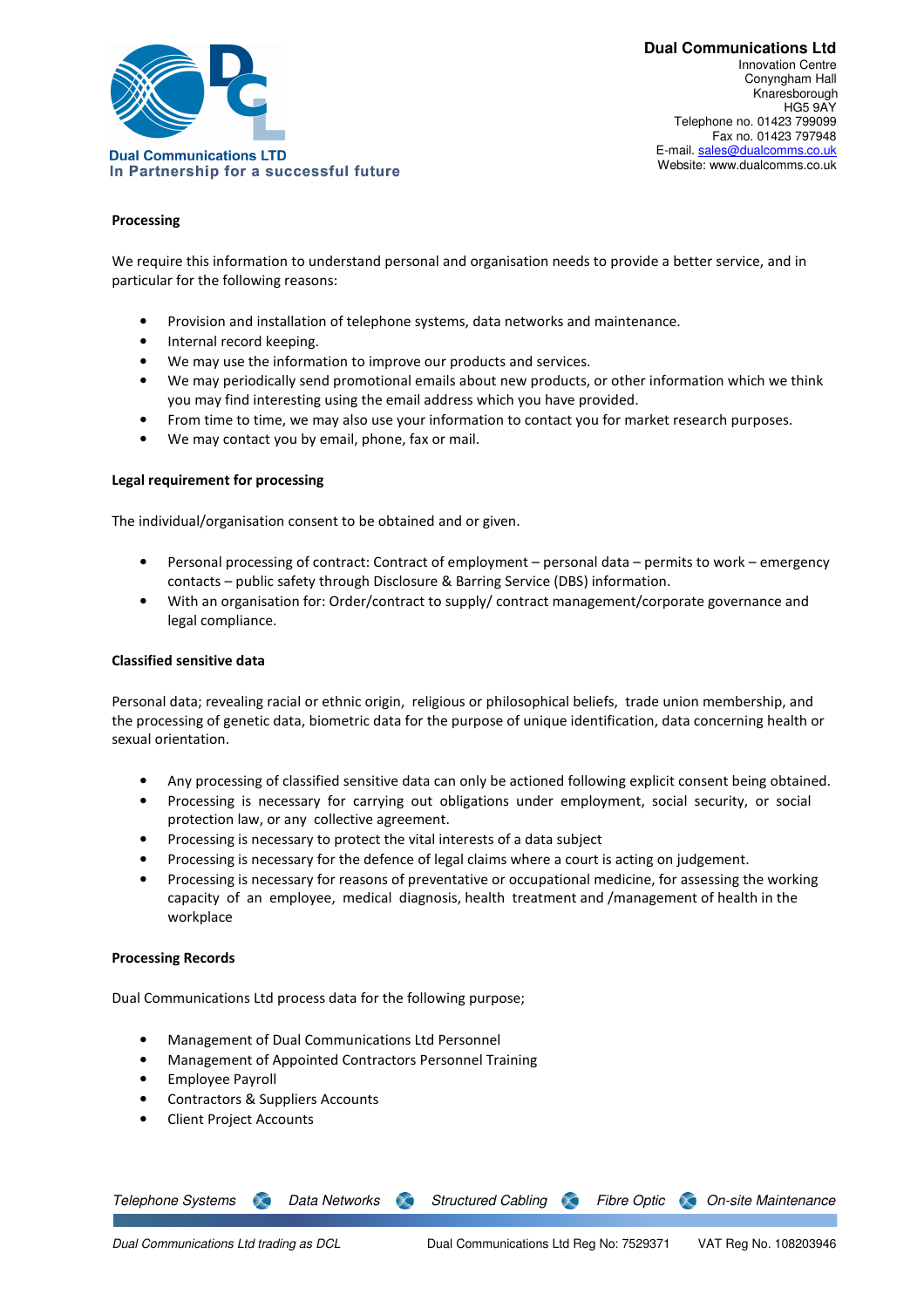

**Dual Communications Ltd**  Innovation Centre Conyngham Hall Knaresborough HG5 9AY Telephone no. 01423 799099 Fax no. 01423 797948 E-mail. sales@dualcomms.co.uk Website: www.dualcomms.co.uk

# **Processing**

We require this information to understand personal and organisation needs to provide a better service, and in particular for the following reasons:

- Provision and installation of telephone systems, data networks and maintenance.
- Internal record keeping.
- We may use the information to improve our products and services.
- We may periodically send promotional emails about new products, or other information which we think you may find interesting using the email address which you have provided.
- From time to time, we may also use your information to contact you for market research purposes.
- We may contact you by email, phone, fax or mail.

### **Legal requirement for processing**

The individual/organisation consent to be obtained and or given.

- Personal processing of contract: Contract of employment personal data permits to work emergency contacts – public safety through Disclosure & Barring Service (DBS) information.
- With an organisation for: Order/contract to supply/ contract management/corporate governance and legal compliance.

### **Classified sensitive data**

Personal data; revealing racial or ethnic origin, religious or philosophical beliefs, trade union membership, and the processing of genetic data, biometric data for the purpose of unique identification, data concerning health or sexual orientation.

- Any processing of classified sensitive data can only be actioned following explicit consent being obtained.
- Processing is necessary for carrying out obligations under employment, social security, or social protection law, or any collective agreement.
- Processing is necessary to protect the vital interests of a data subject
- Processing is necessary for the defence of legal claims where a court is acting on judgement.
- Processing is necessary for reasons of preventative or occupational medicine, for assessing the working capacity of an employee, medical diagnosis, health treatment and /management of health in the workplace

### **Processing Records**

Dual Communications Ltd process data for the following purpose;

- Management of Dual Communications Ltd Personnel
- Management of Appointed Contractors Personnel Training
- Employee Payroll
- Contractors & Suppliers Accounts
- Client Project Accounts

Telephone Systems **Standard Data Networks Structured Cabling Standard Fibre Optic Standard Maintenance**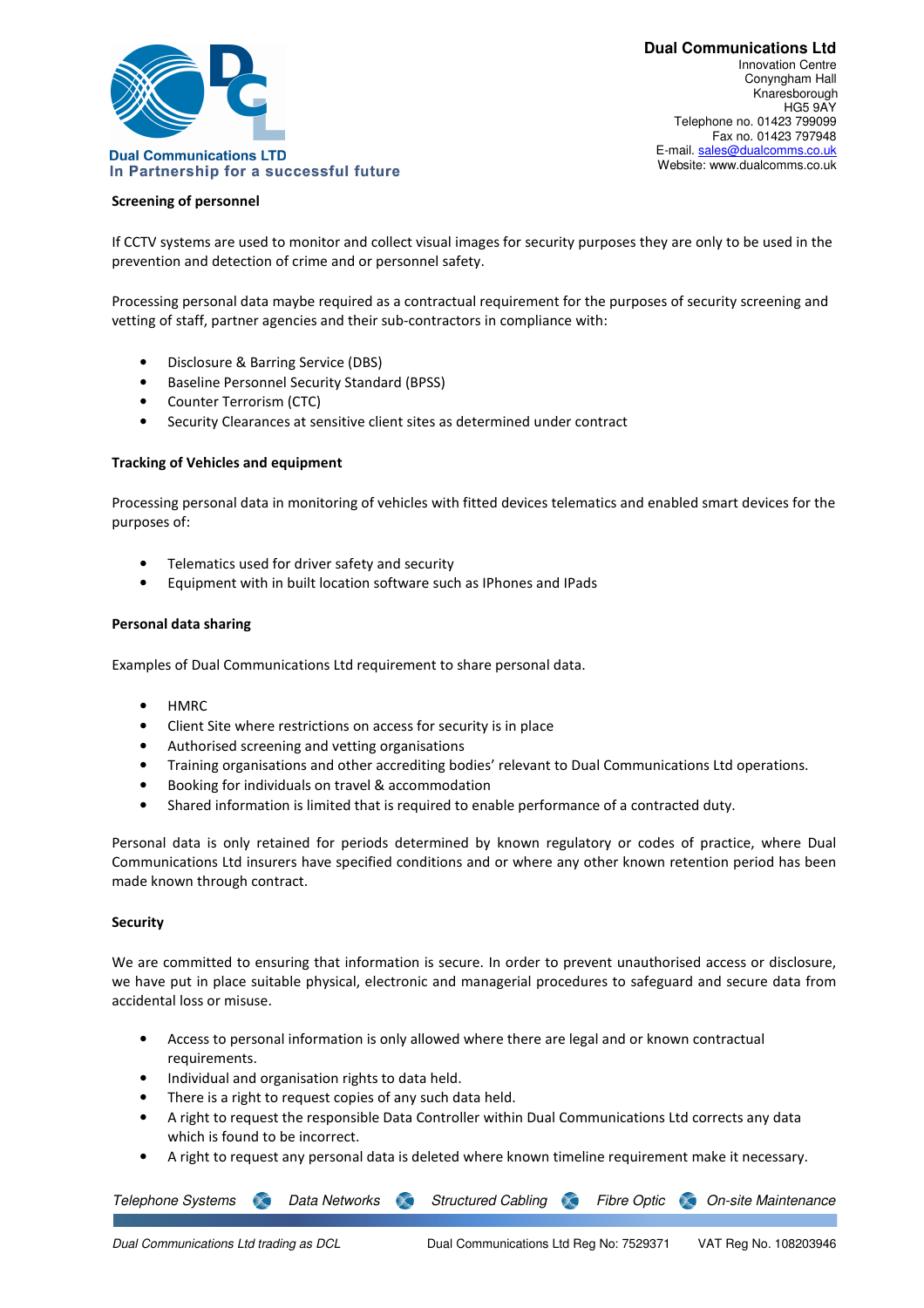

### **Screening of personnel**

If CCTV systems are used to monitor and collect visual images for security purposes they are only to be used in the prevention and detection of crime and or personnel safety.

Processing personal data maybe required as a contractual requirement for the purposes of security screening and vetting of staff, partner agencies and their sub-contractors in compliance with:

- Disclosure & Barring Service (DBS)
- Baseline Personnel Security Standard (BPSS)
- Counter Terrorism (CTC)
- Security Clearances at sensitive client sites as determined under contract

### **Tracking of Vehicles and equipment**

Processing personal data in monitoring of vehicles with fitted devices telematics and enabled smart devices for the purposes of:

- Telematics used for driver safety and security
- Equipment with in built location software such as IPhones and IPads

### **Personal data sharing**

Examples of Dual Communications Ltd requirement to share personal data.

- HMRC
- Client Site where restrictions on access for security is in place
- Authorised screening and vetting organisations
- Training organisations and other accrediting bodies' relevant to Dual Communications Ltd operations.
- Booking for individuals on travel & accommodation
- Shared information is limited that is required to enable performance of a contracted duty.

Personal data is only retained for periods determined by known regulatory or codes of practice, where Dual Communications Ltd insurers have specified conditions and or where any other known retention period has been made known through contract.

# **Security**

We are committed to ensuring that information is secure. In order to prevent unauthorised access or disclosure, we have put in place suitable physical, electronic and managerial procedures to safeguard and secure data from accidental loss or misuse.

- Access to personal information is only allowed where there are legal and or known contractual requirements.
- Individual and organisation rights to data held.
- There is a right to request copies of any such data held.
- A right to request the responsible Data Controller within Dual Communications Ltd corrects any data which is found to be incorrect.
- A right to request any personal data is deleted where known timeline requirement make it necessary.

Telephone Systems **Standard Data Networks Structured Cabling Standard Fibre Optic Standard Maintenance**